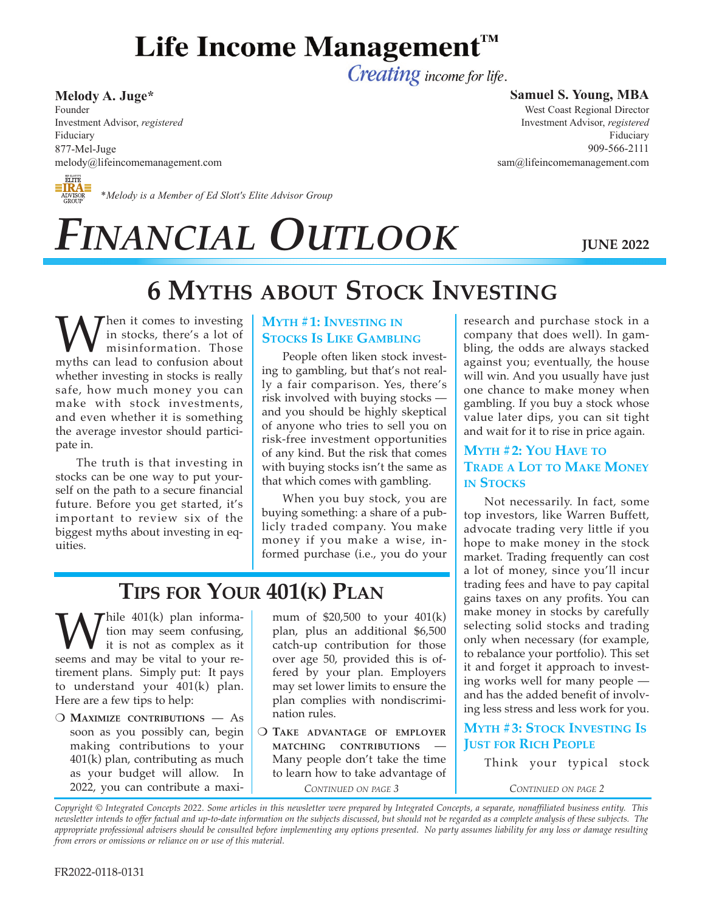# Life Income Management™

Creating income for life.

## **Melody A. Juge\***

Founder Investment Advisor, *registered* Fiduciary 877-Mel-Juge melody@lifeincomemanagement.com

# **ELITE**<br> **ELITE**<br>
ADVISOR \*Melody is a Member of Ed Slott's Elite Advisor Group

#### **Samuel S. Young, MBA**

West Coast Regional Director Investment Advisor, *registered* Fiduciary 909-566-2111 sam@lifeincomemanagement.com

# *FINANCIAL OUTLOOK*

**JUNE 2022**

## **6 MYTHS ABOUT STOCK INVESTING**

When it comes to investing<br>misinformation. Those<br>myths can lead to confusion about in stocks, there's a lot of misinformation. Those whether investing in stocks is really safe, how much money you can make with stock investments, and even whether it is something the average investor should participate in.

The truth is that investing in stocks can be one way to put yourself on the path to a secure financial future. Before you get started, it's important to review six of the biggest myths about investing in equities.

## **MYTH #1: INVESTING IN STOCKS IS LIKE GAMBLING**

People often liken stock investing to gambling, but that's not really a fair comparison. Yes, there's risk involved with buying stocks and you should be highly skeptical of anyone who tries to sell you on risk-free investment opportunities of any kind. But the risk that comes with buying stocks isn't the same as that which comes with gambling.

When you buy stock, you are buying something: a share of a publicly traded company. You make money if you make a wise, informed purchase (i.e., you do your

## **TIPS FOR YOUR 401(K) PLAN**

While 401(k) plan informa-<br>it is not as complex as it<br>seems and may be vital to your retion may seem confusing, it is not as complex as it tirement plans. Simply put: It pays to understand your 401(k) plan. Here are a few tips to help:

O **MAXIMIZE CONTRIBUTIONS** - As soon as you possibly can, begin making contributions to your 401(k) plan, contributing as much as your budget will allow. In 2022, you can contribute a maximum of \$20,500 to your 401(k) plan, plus an additional \$6,500 catch-up contribution for those over age 50, provided this is offered by your plan. Employers may set lower limits to ensure the plan complies with nondiscrimination rules.

O TAKE ADVANTAGE OF EMPLOYER **MATCHING CONTRIBUTIONS** Many people don't take the time to learn how to take advantage of *CONTINUED ON PAGE 3*

research and purchase stock in a company that does well). In gambling, the odds are always stacked against you; eventually, the house will win. And you usually have just one chance to make money when gambling. If you buy a stock whose value later dips, you can sit tight and wait for it to rise in price again.

## **MYTH #2: YOU HAVE TO TRADE A LOT TO MAKE MONEY IN STOCKS**

Not necessarily. In fact, some top investors, like Warren Buffett, advocate trading very little if you hope to make money in the stock market. Trading frequently can cost a lot of money, since you'll incur trading fees and have to pay capital gains taxes on any profits. You can make money in stocks by carefully selecting solid stocks and trading only when necessary (for example, to rebalance your portfolio). This set it and forget it approach to investing works well for many people and has the added benefit of involving less stress and less work for you.

## **MYTH #3: STOCK INVESTING IS JUST FOR RICH PEOPLE**

Think your typical stock

*CONTINUED ON PAGE 2*

*Copyright © Integrated Concepts 2022. Some articles in this newsletter were prepared by Integrated Concepts, a separate, nonaffiliated business entity. This newsletter intends to offer factual and up-to-date information on the subjects discussed, but should not be regarded as a complete analysis of these subjects. The appropriate professional advisers should be consulted before implementing any options presented. No party assumes liability for any loss or damage resulting from errors or omissions or reliance on or use of this material.*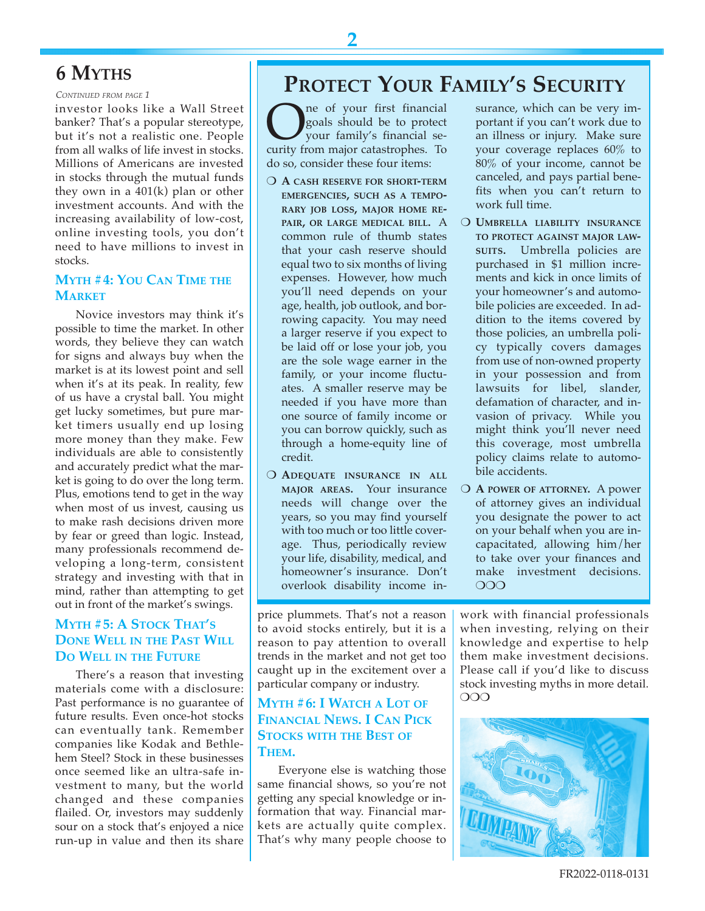## **6 MYTHS**

*CONTINUED FROM PAGE 1*

investor looks like a Wall Street banker? That's a popular stereotype, but it's not a realistic one. People from all walks of life invest in stocks. Millions of Americans are invested in stocks through the mutual funds they own in a 401(k) plan or other investment accounts. And with the increasing availability of low-cost, online investing tools, you don't need to have millions to invest in stocks.

#### **MYTH #4: YOU CAN TIME THE MARKET**

Novice investors may think it's possible to time the market. In other words, they believe they can watch for signs and always buy when the market is at its lowest point and sell when it's at its peak. In reality, few of us have a crystal ball. You might get lucky sometimes, but pure market timers usually end up losing more money than they make. Few individuals are able to consistently and accurately predict what the market is going to do over the long term. Plus, emotions tend to get in the way when most of us invest, causing us to make rash decisions driven more by fear or greed than logic. Instead, many professionals recommend developing a long-term, consistent strategy and investing with that in mind, rather than attempting to get out in front of the market's swings.

## **MYTH #5: A STOCK THAT'S DONE WELL IN THE PAST WILL DO WELL IN THE FUTURE**

There's a reason that investing materials come with a disclosure: Past performance is no guarantee of future results. Even once-hot stocks can eventually tank. Remember companies like Kodak and Bethlehem Steel? Stock in these businesses once seemed like an ultra-safe investment to many, but the world changed and these companies flailed. Or, investors may suddenly sour on a stock that's enjoyed a nice run-up in value and then its share

## **PROTECT YOUR FAMILY'S SECURITY**

**O**ne of your first financial goals should be to protect your family's financial security from major catastrophes. To goals should be to protect your family's financial sedo so, consider these four items:

- O A CASH RESERVE FOR SHORT-TERM **EMERGENCIES, SUCH AS A TEMPO-RARY JOB LOSS, MAJOR HOME RE-PAIR, OR LARGE MEDICAL BILL.** A common rule of thumb states that your cash reserve should equal two to six months of living expenses. However, how much you'll need depends on your age, health, job outlook, and borrowing capacity. You may need a larger reserve if you expect to be laid off or lose your job, you are the sole wage earner in the family, or your income fluctuates. A smaller reserve may be needed if you have more than one source of family income or you can borrow quickly, such as through a home-equity line of credit.
- **O ADEQUATE INSURANCE IN ALL MAJOR AREAS.** Your insurance needs will change over the years, so you may find yourself with too much or too little coverage. Thus, periodically review your life, disability, medical, and homeowner's insurance. Don't overlook disability income in-

price plummets. That's not a reason to avoid stocks entirely, but it is a reason to pay attention to overall trends in the market and not get too caught up in the excitement over a particular company or industry.

## **MYTH #6: I WATCH A LOT OF FINANCIAL NEWS. I CAN PICK STOCKS WITH THE BEST OF THEM.**

Everyone else is watching those same financial shows, so you're not getting any special knowledge or information that way. Financial markets are actually quite complex. That's why many people choose to

surance, which can be very important if you can't work due to an illness or injury. Make sure your coverage replaces 60% to 80% of your income, cannot be canceled, and pays partial benefits when you can't return to work full time.

- O UMBRELLA LIABILITY INSURANCE **TO PROTECT AGAINST MAJOR LAW-SUITS.** Umbrella policies are purchased in \$1 million increments and kick in once limits of your homeowner's and automobile policies are exceeded. In addition to the items covered by those policies, an umbrella policy typically covers damages from use of non-owned property in your possession and from lawsuits for libel, slander, defamation of character, and invasion of privacy. While you might think you'll never need this coverage, most umbrella policy claims relate to automobile accidents.
- O A POWER OF ATTORNEY. A power of attorney gives an individual you designate the power to act on your behalf when you are incapacitated, allowing him/her to take over your finances and make investment decisions.  $\Omega$

work with financial professionals when investing, relying on their knowledge and expertise to help them make investment decisions. Please call if you'd like to discuss stock investing myths in more detail.  $OOO$ 



**2**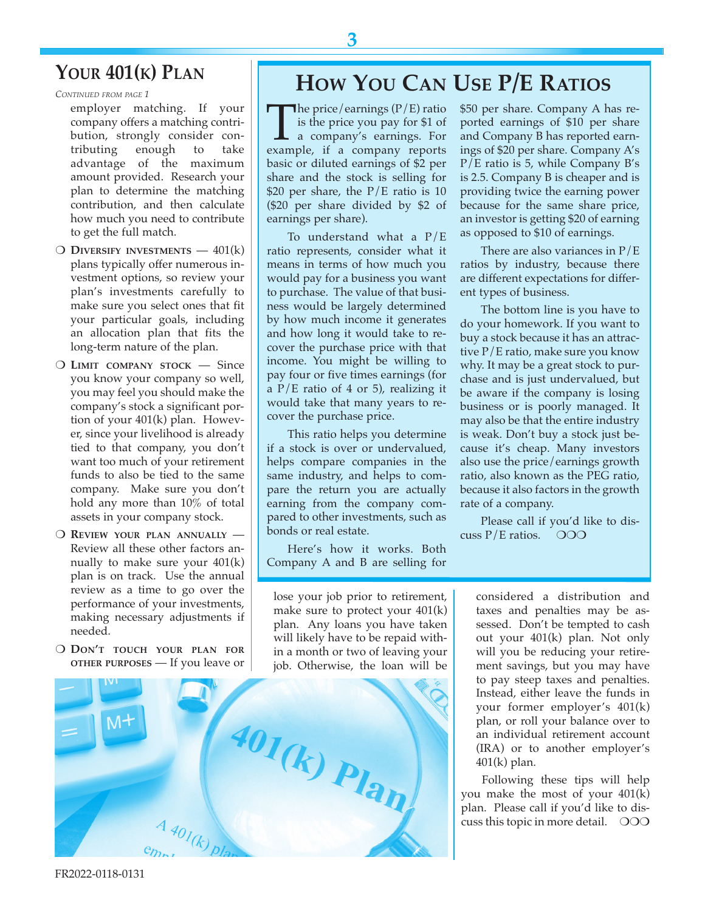## **YOUR 401(K) PLAN**

*CONTINUED FROM PAGE 1*

employer matching. If your company offers a matching contribution, strongly consider contributing enough to take advantage of the maximum amount provided. Research your plan to determine the matching contribution, and then calculate how much you need to contribute to get the full match.

- m **DIVERSIFY INVESTMENTS** 401(k) plans typically offer numerous investment options, so review your plan's investments carefully to make sure you select ones that fit your particular goals, including an allocation plan that fits the long-term nature of the plan.
- O LIMIT COMPANY STOCK Since you know your company so well, you may feel you should make the company's stock a significant portion of your 401(k) plan. However, since your livelihood is already tied to that company, you don't want too much of your retirement funds to also be tied to the same company. Make sure you don't hold any more than 10% of total assets in your company stock.
- O REVIEW YOUR PLAN ANNUALLY -Review all these other factors annually to make sure your 401(k) plan is on track. Use the annual review as a time to go over the performance of your investments, making necessary adjustments if needed.
- O DON'T TOUCH YOUR PLAN FOR **OTHER PURPOSES** — If you leave or

## **HOW YOU CAN USE P/E RATIOS**

The price/earnings  $(P/E)$  ratio<br>is the price you pay for \$1 of<br>a company's earnings. For<br>example, if a company reports is the price you pay for \$1 of a company's earnings. For example, if a company reports basic or diluted earnings of \$2 per share and the stock is selling for \$20 per share, the  $P/E$  ratio is 10 (\$20 per share divided by \$2 of earnings per share).

To understand what a P/E ratio represents, consider what it means in terms of how much you would pay for a business you want to purchase. The value of that business would be largely determined by how much income it generates and how long it would take to recover the purchase price with that income. You might be willing to pay four or five times earnings (for a  $P/E$  ratio of 4 or 5), realizing it would take that many years to recover the purchase price.

This ratio helps you determine if a stock is over or undervalued, helps compare companies in the same industry, and helps to compare the return you are actually earning from the company compared to other investments, such as bonds or real estate.

Here's how it works. Both Company A and B are selling for \$50 per share. Company A has reported earnings of \$10 per share and Company B has reported earnings of \$20 per share. Company A's P/E ratio is 5, while Company B's is 2.5. Company B is cheaper and is providing twice the earning power because for the same share price, an investor is getting \$20 of earning as opposed to \$10 of earnings.

There are also variances in  $P/E$ ratios by industry, because there are different expectations for different types of business.

The bottom line is you have to do your homework. If you want to buy a stock because it has an attractive P/E ratio, make sure you know why. It may be a great stock to purchase and is just undervalued, but be aware if the company is losing business or is poorly managed. It may also be that the entire industry is weak. Don't buy a stock just because it's cheap. Many investors also use the price/earnings growth ratio, also known as the PEG ratio, because it also factors in the growth rate of a company.

Please call if you'd like to discuss  $P/E$  ratios.  $OOO$ 

lose your job prior to retirement, make sure to protect your 401(k) plan. Any loans you have taken will likely have to be repaid within a month or two of leaving your job. Otherwise, the loan will be



considered a distribution and taxes and penalties may be assessed. Don't be tempted to cash out your 401(k) plan. Not only will you be reducing your retirement savings, but you may have to pay steep taxes and penalties. Instead, either leave the funds in your former employer's 401(k) plan, or roll your balance over to an individual retirement account (IRA) or to another employer's 401(k) plan.

Following these tips will help you make the most of your 401(k) plan. Please call if you'd like to discuss this topic in more detail.  $\circ$ OO

**3**